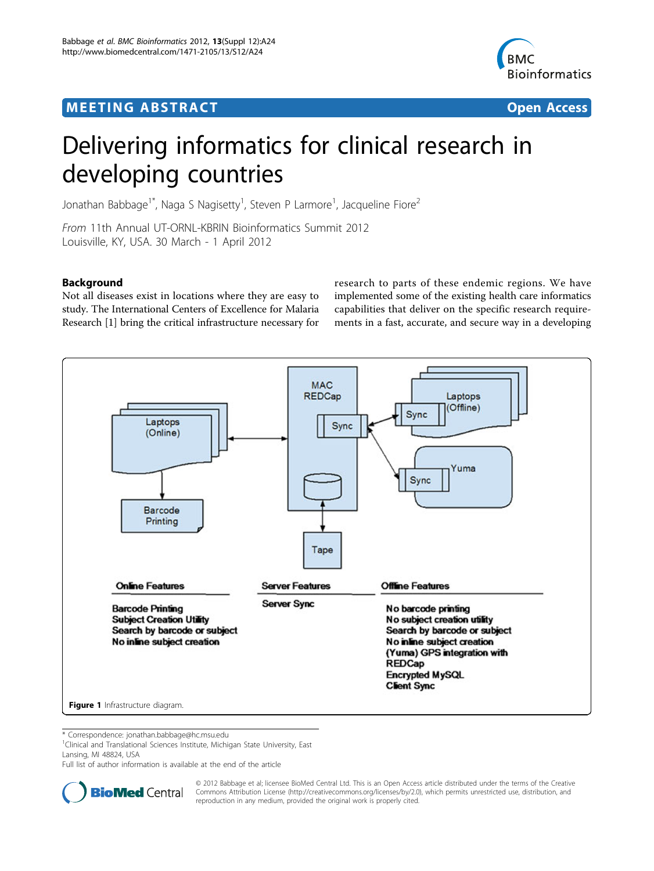# **MEETING ABSTRACT ACCESS**



# Delivering informatics for clinical research in developing countries

Jonathan Babbage<sup>1\*</sup>, Naga S Nagisetty<sup>1</sup>, Steven P Larmore<sup>1</sup>, Jacqueline Fiore<sup>2</sup>

From 11th Annual UT-ORNL-KBRIN Bioinformatics Summit 2012 Louisville, KY, USA. 30 March - 1 April 2012

# **Background**

Not all diseases exist in locations where they are easy to study. The International Centers of Excellence for Malaria Research [[1\]](#page-1-0) bring the critical infrastructure necessary for research to parts of these endemic regions. We have implemented some of the existing health care informatics capabilities that deliver on the specific research requirements in a fast, accurate, and secure way in a developing



\* Correspondence: [jonathan.babbage@hc.msu.edu](mailto:jonathan.babbage@hc.msu.edu)

<sup>1</sup>Clinical and Translational Sciences Institute, Michigan State University, East Lansing, MI 48824, USA

Full list of author information is available at the end of the article



© 2012 Babbage et al; licensee BioMed Central Ltd. This is an Open Access article distributed under the terms of the Creative Commons Attribution License [\(http://creativecommons.org/licenses/by/2.0](http://creativecommons.org/licenses/by/2.0)), which permits unrestricted use, distribution, and reproduction in any medium, provided the original work is properly cited.